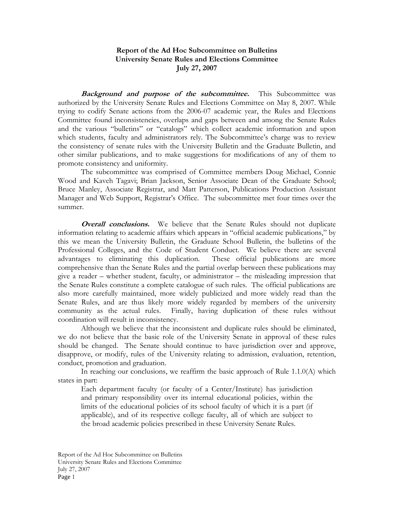## **Report of the Ad Hoc Subcommittee on Bulletins University Senate Rules and Elections Committee July 27, 2007**

**Background and purpose of the subcommittee.** This Subcommittee was authorized by the University Senate Rules and Elections Committee on May 8, 2007. While trying to codify Senate actions from the 2006-07 academic year, the Rules and Elections Committee found inconsistencies, overlaps and gaps between and among the Senate Rules and the various "bulletins" or "catalogs" which collect academic information and upon which students, faculty and administrators rely. The Subcommittee's charge was to review the consistency of senate rules with the University Bulletin and the Graduate Bulletin, and other similar publications, and to make suggestions for modifications of any of them to promote consistency and uniformity.

 The subcommittee was comprised of Committee members Doug Michael, Connie Wood and Kaveh Tagavi; Brian Jackson, Senior Associate Dean of the Graduate School; Bruce Manley, Associate Registrar, and Matt Patterson, Publications Production Assistant Manager and Web Support, Registrar's Office. The subcommittee met four times over the summer.

**Overall conclusions.** We believe that the Senate Rules should not duplicate information relating to academic affairs which appears in "official academic publications," by this we mean the University Bulletin, the Graduate School Bulletin, the bulletins of the Professional Colleges, and the Code of Student Conduct. We believe there are several advantages to eliminating this duplication. These official publications are more comprehensive than the Senate Rules and the partial overlap between these publications may give a reader – whether student, faculty, or administrator – the misleading impression that the Senate Rules constitute a complete catalogue of such rules. The official publications are also more carefully maintained, more widely publicized and more widely read than the Senate Rules, and are thus likely more widely regarded by members of the university community as the actual rules. Finally, having duplication of these rules without coordination will result in inconsistency.

 Although we believe that the inconsistent and duplicate rules should be eliminated, we do not believe that the basic role of the University Senate in approval of these rules should be changed. The Senate should continue to have jurisdiction over and approve, disapprove, or modify, rules of the University relating to admission, evaluation, retention, conduct, promotion and graduation.

 In reaching our conclusions, we reaffirm the basic approach of Rule 1.1.0(A) which states in part:

Each department faculty (or faculty of a Center/Institute) has jurisdiction and primary responsibility over its internal educational policies, within the limits of the educational policies of its school faculty of which it is a part (if applicable), and of its respective college faculty, all of which are subject to the broad academic policies prescribed in these University Senate Rules.

Report of the Ad Hoc Subcommittee on Bulletins University Senate Rules and Elections Committee July 27, 2007 Page 1